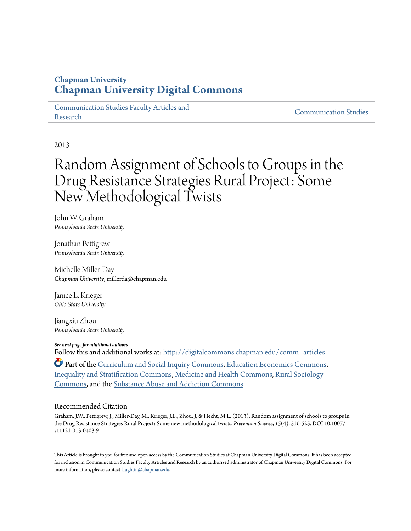### **Chapman University [Chapman University Digital Commons](http://digitalcommons.chapman.edu?utm_source=digitalcommons.chapman.edu%2Fcomm_articles%2F14&utm_medium=PDF&utm_campaign=PDFCoverPages)**

[Communication Studies Faculty Articles and](http://digitalcommons.chapman.edu/comm_articles?utm_source=digitalcommons.chapman.edu%2Fcomm_articles%2F14&utm_medium=PDF&utm_campaign=PDFCoverPages) [Research](http://digitalcommons.chapman.edu/comm_articles?utm_source=digitalcommons.chapman.edu%2Fcomm_articles%2F14&utm_medium=PDF&utm_campaign=PDFCoverPages) [Communication Studies](http://digitalcommons.chapman.edu/communication?utm_source=digitalcommons.chapman.edu%2Fcomm_articles%2F14&utm_medium=PDF&utm_campaign=PDFCoverPages)

2013

## Random Assignment of Schools to Groups in the Drug Resistance Strategies Rural Project: Some New Methodological Twists

John W. Graham *Pennsylvania State University*

Jonathan Pettigrew *Pennsylvania State University*

Michelle Miller-Day *Chapman University*, millerda@chapman.edu

Janice L. Krieger *Ohio State University*

Jiangxiu Zhou *Pennsylvania State University*

*See next page for additional authors* Follow this and additional works at: [http://digitalcommons.chapman.edu/comm\\_articles](http://digitalcommons.chapman.edu/comm_articles?utm_source=digitalcommons.chapman.edu%2Fcomm_articles%2F14&utm_medium=PDF&utm_campaign=PDFCoverPages)

Part of the [Curriculum and Social Inquiry Commons](http://network.bepress.com/hgg/discipline/1038?utm_source=digitalcommons.chapman.edu%2Fcomm_articles%2F14&utm_medium=PDF&utm_campaign=PDFCoverPages), [Education Economics Commons,](http://network.bepress.com/hgg/discipline/1262?utm_source=digitalcommons.chapman.edu%2Fcomm_articles%2F14&utm_medium=PDF&utm_campaign=PDFCoverPages) [Inequality and Stratification Commons](http://network.bepress.com/hgg/discipline/421?utm_source=digitalcommons.chapman.edu%2Fcomm_articles%2F14&utm_medium=PDF&utm_campaign=PDFCoverPages), [Medicine and Health Commons,](http://network.bepress.com/hgg/discipline/422?utm_source=digitalcommons.chapman.edu%2Fcomm_articles%2F14&utm_medium=PDF&utm_campaign=PDFCoverPages) [Rural Sociology](http://network.bepress.com/hgg/discipline/428?utm_source=digitalcommons.chapman.edu%2Fcomm_articles%2F14&utm_medium=PDF&utm_campaign=PDFCoverPages) [Commons,](http://network.bepress.com/hgg/discipline/428?utm_source=digitalcommons.chapman.edu%2Fcomm_articles%2F14&utm_medium=PDF&utm_campaign=PDFCoverPages) and the [Substance Abuse and Addiction Commons](http://network.bepress.com/hgg/discipline/710?utm_source=digitalcommons.chapman.edu%2Fcomm_articles%2F14&utm_medium=PDF&utm_campaign=PDFCoverPages)

#### Recommended Citation

Graham, J.W., Pettigrew, J., Miller-Day, M., Krieger, J.L., Zhou, J, & Hecht, M.L. (2013). Random assignment of schools to groups in the Drug Resistance Strategies Rural Project: Some new methodological twists. *Prevention Science, 15*(4), 516-525. DOI 10.1007/ s11121-013-0403-9

This Article is brought to you for free and open access by the Communication Studies at Chapman University Digital Commons. It has been accepted for inclusion in Communication Studies Faculty Articles and Research by an authorized administrator of Chapman University Digital Commons. For more information, please contact  $\text{la }\mathbf{u}$  and  $\mathbf{u}$  and  $\mathbf{u}$  and  $\mathbf{u}$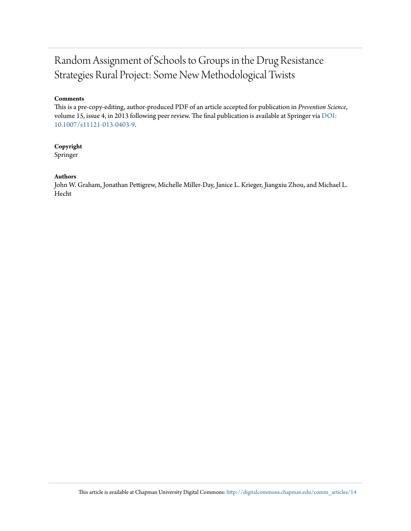## Random Assignment of Schools to Groups in the Drug Resistance Strategies Rural Project: Some New Methodological Twists

#### **Comments**

This is a pre-copy-editing, author-produced PDF of an article accepted for publication in *Prevention Science*, volume 15, issue 4, in 2013 following peer review. The final publication is available at Springer via [DOI:](http://dx.doi.org/10.1007/s11121-013-0403-9) [10.1007/s11121-013-0403-9.](http://dx.doi.org/10.1007/s11121-013-0403-9)

#### **Copyright**

Springer

#### **Authors**

John W. Graham, Jonathan Pettigrew, Michelle Miller-Day, Janice L. Krieger, Jiangxiu Zhou, and Michael L. Hecht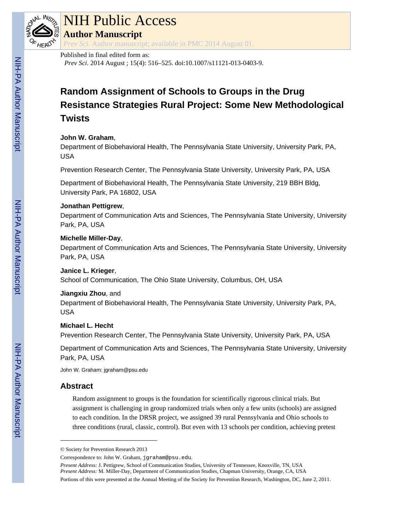

# NIH Public Access

**Author Manuscript**

*Prev Sci*. Author manuscript; available in PMC 2014 August 01.

#### Published in final edited form as:

*Prev Sci*. 2014 August ; 15(4): 516–525. doi:10.1007/s11121-013-0403-9.

## **Random Assignment of Schools to Groups in the Drug Resistance Strategies Rural Project: Some New Methodological Twists**

#### **John W. Graham**,

Department of Biobehavioral Health, The Pennsylvania State University, University Park, PA, USA

Prevention Research Center, The Pennsylvania State University, University Park, PA, USA

Department of Biobehavioral Health, The Pennsylvania State University, 219 BBH Bldg, University Park, PA 16802, USA

#### **Jonathan Pettigrew**,

Department of Communication Arts and Sciences, The Pennsylvania State University, University Park, PA, USA

#### **Michelle Miller-Day**,

Department of Communication Arts and Sciences, The Pennsylvania State University, University Park, PA, USA

#### **Janice L. Krieger**,

School of Communication, The Ohio State University, Columbus, OH, USA

#### **Jiangxiu Zhou**, and

Department of Biobehavioral Health, The Pennsylvania State University, University Park, PA, USA

#### **Michael L. Hecht**

Prevention Research Center, The Pennsylvania State University, University Park, PA, USA

Department of Communication Arts and Sciences, The Pennsylvania State University, University Park, PA, USA

John W. Graham: jgraham@psu.edu

#### **Abstract**

Random assignment to groups is the foundation for scientifically rigorous clinical trials. But assignment is challenging in group randomized trials when only a few units (schools) are assigned to each condition. In the DRSR project, we assigned 39 rural Pennsylvania and Ohio schools to three conditions (rural, classic, control). But even with 13 schools per condition, achieving pretest

<sup>©</sup> Society for Prevention Research 2013

Correspondence to: John W. Graham, jgraham@psu.edu.

*Present Address:* J. Pettigrew, School of Communication Studies, University of Tennessee, Knoxville, TN, USA *Present Address:* M. Miller-Day, Department of Communication Studies, Chapman University, Orange, CA, USA Portions of this were presented at the Annual Meeting of the Society for Prevention Research, Washington, DC, June 2, 2011.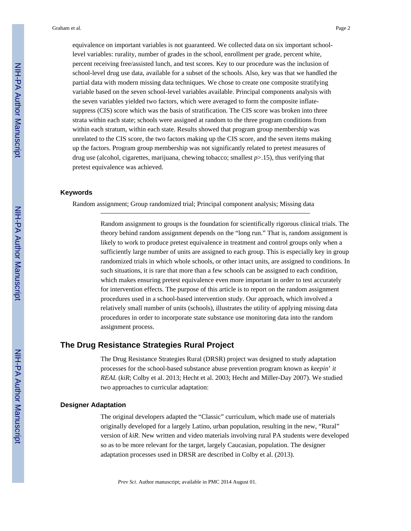equivalence on important variables is not guaranteed. We collected data on six important schoollevel variables: rurality, number of grades in the school, enrollment per grade, percent white, percent receiving free/assisted lunch, and test scores. Key to our procedure was the inclusion of school-level drug use data, available for a subset of the schools. Also, key was that we handled the partial data with modern missing data techniques. We chose to create one composite stratifying variable based on the seven school-level variables available. Principal components analysis with the seven variables yielded two factors, which were averaged to form the composite inflatesuppress (CIS) score which was the basis of stratification. The CIS score was broken into three strata within each state; schools were assigned at random to the three program conditions from within each stratum, within each state. Results showed that program group membership was unrelated to the CIS score, the two factors making up the CIS score, and the seven items making up the factors. Program group membership was not significantly related to pretest measures of drug use (alcohol, cigarettes, marijuana, chewing tobacco; smallest *p*>.15), thus verifying that pretest equivalence was achieved.

#### **Keywords**

Random assignment; Group randomized trial; Principal component analysis; Missing data

Random assignment to groups is the foundation for scientifically rigorous clinical trials. The theory behind random assignment depends on the "long run." That is, random assignment is likely to work to produce pretest equivalence in treatment and control groups only when a sufficiently large number of units are assigned to each group. This is especially key in group randomized trials in which whole schools, or other intact units, are assigned to conditions. In such situations, it is rare that more than a few schools can be assigned to each condition, which makes ensuring pretest equivalence even more important in order to test accurately for intervention effects. The purpose of this article is to report on the random assignment procedures used in a school-based intervention study. Our approach, which involved a relatively small number of units (schools), illustrates the utility of applying missing data procedures in order to incorporate state substance use monitoring data into the random assignment process.

#### **The Drug Resistance Strategies Rural Project**

The Drug Resistance Strategies Rural (DRSR) project was designed to study adaptation processes for the school-based substance abuse prevention program known as *keepin*' *it REAL* (*kiR*; Colby et al. 2013; Hecht et al. 2003; Hecht and Miller-Day 2007). We studied two approaches to curricular adaptation:

#### **Designer Adaptation**

The original developers adapted the "Classic" curriculum, which made use of materials originally developed for a largely Latino, urban population, resulting in the new, "Rural" version of *kiR*. New written and video materials involving rural PA students were developed so as to be more relevant for the target, largely Caucasian, population. The designer adaptation processes used in DRSR are described in Colby et al. (2013).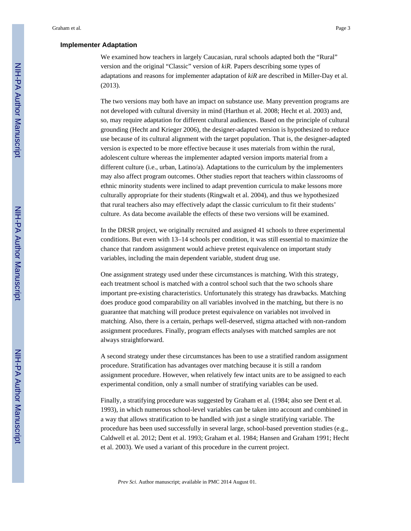#### **Implementer Adaptation**

We examined how teachers in largely Caucasian, rural schools adapted both the "Rural" version and the original "Classic" version of *kiR*. Papers describing some types of adaptations and reasons for implementer adaptation of *kiR* are described in Miller-Day et al. (2013).

The two versions may both have an impact on substance use. Many prevention programs are not developed with cultural diversity in mind (Harthun et al. 2008; Hecht et al. 2003) and, so, may require adaptation for different cultural audiences. Based on the principle of cultural grounding (Hecht and Krieger 2006), the designer-adapted version is hypothesized to reduce use because of its cultural alignment with the target population. That is, the designer-adapted version is expected to be more effective because it uses materials from within the rural, adolescent culture whereas the implementer adapted version imports material from a different culture (i.e., urban, Latino/a). Adaptations to the curriculum by the implementers may also affect program outcomes. Other studies report that teachers within classrooms of ethnic minority students were inclined to adapt prevention curricula to make lessons more culturally appropriate for their students (Ringwalt et al. 2004), and thus we hypothesized that rural teachers also may effectively adapt the classic curriculum to fit their students' culture. As data become available the effects of these two versions will be examined.

In the DRSR project, we originally recruited and assigned 41 schools to three experimental conditions. But even with 13–14 schools per condition, it was still essential to maximize the chance that random assignment would achieve pretest equivalence on important study variables, including the main dependent variable, student drug use.

One assignment strategy used under these circumstances is matching. With this strategy, each treatment school is matched with a control school such that the two schools share important pre-existing characteristics. Unfortunately this strategy has drawbacks. Matching does produce good comparability on all variables involved in the matching, but there is no guarantee that matching will produce pretest equivalence on variables not involved in matching. Also, there is a certain, perhaps well-deserved, stigma attached with non-random assignment procedures. Finally, program effects analyses with matched samples are not always straightforward.

A second strategy under these circumstances has been to use a stratified random assignment procedure. Stratification has advantages over matching because it is still a random assignment procedure. However, when relatively few intact units are to be assigned to each experimental condition, only a small number of stratifying variables can be used.

Finally, a stratifying procedure was suggested by Graham et al. (1984; also see Dent et al. 1993), in which numerous school-level variables can be taken into account and combined in a way that allows stratification to be handled with just a single stratifying variable. The procedure has been used successfully in several large, school-based prevention studies (e.g., Caldwell et al. 2012; Dent et al. 1993; Graham et al. 1984; Hansen and Graham 1991; Hecht et al. 2003). We used a variant of this procedure in the current project.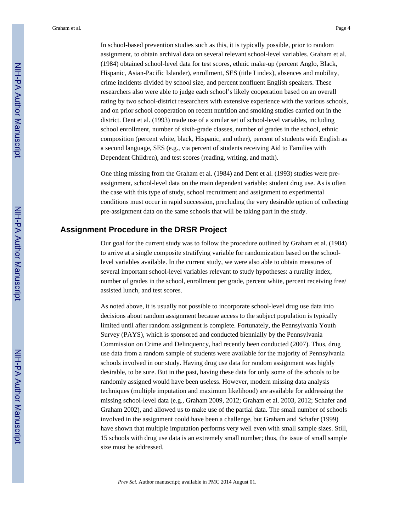In school-based prevention studies such as this, it is typically possible, prior to random assignment, to obtain archival data on several relevant school-level variables. Graham et al. (1984) obtained school-level data for test scores, ethnic make-up (percent Anglo, Black, Hispanic, Asian-Pacific Islander), enrollment, SES (title I index), absences and mobility, crime incidents divided by school size, and percent nonfluent English speakers. These researchers also were able to judge each school's likely cooperation based on an overall rating by two school-district researchers with extensive experience with the various schools, and on prior school cooperation on recent nutrition and smoking studies carried out in the district. Dent et al. (1993) made use of a similar set of school-level variables, including school enrollment, number of sixth-grade classes, number of grades in the school, ethnic composition (percent white, black, Hispanic, and other), percent of students with English as a second language, SES (e.g., via percent of students receiving Aid to Families with Dependent Children), and test scores (reading, writing, and math).

One thing missing from the Graham et al. (1984) and Dent et al. (1993) studies were preassignment, school-level data on the main dependent variable: student drug use. As is often the case with this type of study, school recruitment and assignment to experimental conditions must occur in rapid succession, precluding the very desirable option of collecting pre-assignment data on the same schools that will be taking part in the study.

#### **Assignment Procedure in the DRSR Project**

Our goal for the current study was to follow the procedure outlined by Graham et al. (1984) to arrive at a single composite stratifying variable for randomization based on the schoollevel variables available. In the current study, we were also able to obtain measures of several important school-level variables relevant to study hypotheses: a rurality index, number of grades in the school, enrollment per grade, percent white, percent receiving free/ assisted lunch, and test scores.

As noted above, it is usually not possible to incorporate school-level drug use data into decisions about random assignment because access to the subject population is typically limited until after random assignment is complete. Fortunately, the Pennsylvania Youth Survey (PAYS), which is sponsored and conducted biennially by the Pennsylvania Commission on Crime and Delinquency, had recently been conducted (2007). Thus, drug use data from a random sample of students were available for the majority of Pennsylvania schools involved in our study. Having drug use data for random assignment was highly desirable, to be sure. But in the past, having these data for only some of the schools to be randomly assigned would have been useless. However, modern missing data analysis techniques (multiple imputation and maximum likelihood) are available for addressing the missing school-level data (e.g., Graham 2009, 2012; Graham et al. 2003, 2012; Schafer and Graham 2002), and allowed us to make use of the partial data. The small number of schools involved in the assignment could have been a challenge, but Graham and Schafer (1999) have shown that multiple imputation performs very well even with small sample sizes. Still, 15 schools with drug use data is an extremely small number; thus, the issue of small sample size must be addressed.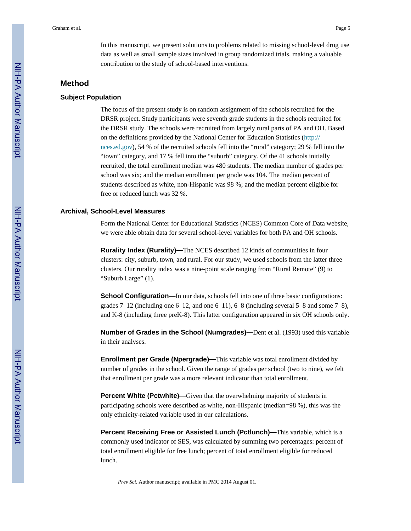In this manuscript, we present solutions to problems related to missing school-level drug use data as well as small sample sizes involved in group randomized trials, making a valuable contribution to the study of school-based interventions.

#### **Method**

#### **Subject Population**

The focus of the present study is on random assignment of the schools recruited for the DRSR project. Study participants were seventh grade students in the schools recruited for the DRSR study. The schools were recruited from largely rural parts of PA and OH. Based on the definitions provided by the National Center for Education Statistics [\(http://](http://nces.ed.gov) [nces.ed.gov](http://nces.ed.gov)), 54 % of the recruited schools fell into the "rural" category; 29 % fell into the "town" category, and 17 % fell into the "suburb" category. Of the 41 schools initially recruited, the total enrollment median was 480 students. The median number of grades per school was six; and the median enrollment per grade was 104. The median percent of students described as white, non-Hispanic was 98 %; and the median percent eligible for free or reduced lunch was 32 %.

#### **Archival, School-Level Measures**

Form the National Center for Educational Statistics (NCES) Common Core of Data website, we were able obtain data for several school-level variables for both PA and OH schools.

**Rurality Index (Rurality)—**The NCES described 12 kinds of communities in four clusters: city, suburb, town, and rural. For our study, we used schools from the latter three clusters. Our rurality index was a nine-point scale ranging from "Rural Remote" (9) to "Suburb Large" (1).

**School Configuration—In** our data, schools fell into one of three basic configurations: grades 7–12 (including one 6–12, and one 6–11), 6–8 (including several 5–8 and some 7–8), and K-8 (including three preK-8). This latter configuration appeared in six OH schools only.

**Number of Grades in the School (Numgrades)—Dent et al. (1993) used this variable** in their analyses.

**Enrollment per Grade (Npergrade)—This variable was total enrollment divided by** number of grades in the school. Given the range of grades per school (two to nine), we felt that enrollment per grade was a more relevant indicator than total enrollment.

**Percent White (Pctwhite)—Given that the overwhelming majority of students in** participating schools were described as white, non-Hispanic (median=98 %), this was the only ethnicity-related variable used in our calculations.

**Percent Receiving Free or Assisted Lunch (Pctlunch)—This variable, which is a** commonly used indicator of SES, was calculated by summing two percentages: percent of total enrollment eligible for free lunch; percent of total enrollment eligible for reduced lunch.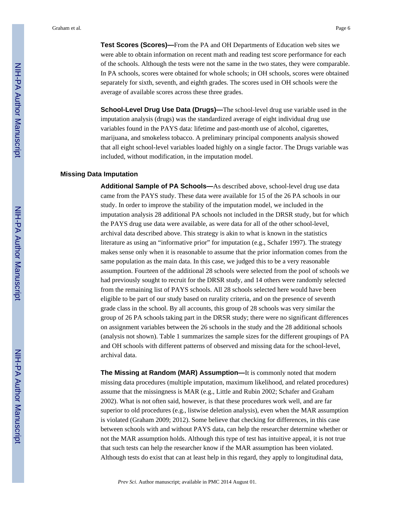**Test Scores (Scores)—**From the PA and OH Departments of Education web sites we were able to obtain information on recent math and reading test score performance for each of the schools. Although the tests were not the same in the two states, they were comparable. In PA schools, scores were obtained for whole schools; in OH schools, scores were obtained separately for sixth, seventh, and eighth grades. The scores used in OH schools were the average of available scores across these three grades.

**School-Level Drug Use Data (Drugs)—**The school-level drug use variable used in the imputation analysis (drugs) was the standardized average of eight individual drug use variables found in the PAYS data: lifetime and past-month use of alcohol, cigarettes, marijuana, and smokeless tobacco. A preliminary principal components analysis showed that all eight school-level variables loaded highly on a single factor. The Drugs variable was included, without modification, in the imputation model.

#### **Missing Data Imputation**

**Additional Sample of PA Schools—**As described above, school-level drug use data came from the PAYS study. These data were available for 15 of the 26 PA schools in our study. In order to improve the stability of the imputation model, we included in the imputation analysis 28 additional PA schools not included in the DRSR study, but for which the PAYS drug use data were available, as were data for all of the other school-level, archival data described above. This strategy is akin to what is known in the statistics literature as using an "informative prior" for imputation (e.g., Schafer 1997). The strategy makes sense only when it is reasonable to assume that the prior information comes from the same population as the main data. In this case, we judged this to be a very reasonable assumption. Fourteen of the additional 28 schools were selected from the pool of schools we had previously sought to recruit for the DRSR study, and 14 others were randomly selected from the remaining list of PAYS schools. All 28 schools selected here would have been eligible to be part of our study based on rurality criteria, and on the presence of seventh grade class in the school. By all accounts, this group of 28 schools was very similar the group of 26 PA schools taking part in the DRSR study; there were no significant differences on assignment variables between the 26 schools in the study and the 28 additional schools (analysis not shown). Table 1 summarizes the sample sizes for the different groupings of PA and OH schools with different patterns of observed and missing data for the school-level, archival data.

**The Missing at Random (MAR) Assumption—**It is commonly noted that modern missing data procedures (multiple imputation, maximum likelihood, and related procedures) assume that the missingness is MAR (e.g., Little and Rubin 2002; Schafer and Graham 2002). What is not often said, however, is that these procedures work well, and are far superior to old procedures (e.g., listwise deletion analysis), even when the MAR assumption is violated (Graham 2009; 2012). Some believe that checking for differences, in this case between schools with and without PAYS data, can help the researcher determine whether or not the MAR assumption holds. Although this type of test has intuitive appeal, it is not true that such tests can help the researcher know if the MAR assumption has been violated. Although tests do exist that can at least help in this regard, they apply to longitudinal data,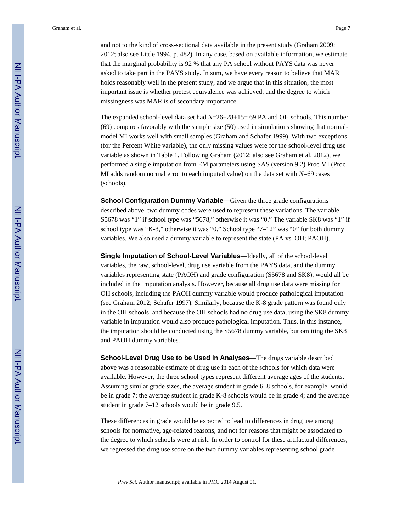and not to the kind of cross-sectional data available in the present study (Graham 2009; 2012; also see Little 1994, p. 482). In any case, based on available information, we estimate that the marginal probability is 92 % that any PA school without PAYS data was never asked to take part in the PAYS study. In sum, we have every reason to believe that MAR holds reasonably well in the present study, and we argue that in this situation, the most important issue is whether pretest equivalence was achieved, and the degree to which missingness was MAR is of secondary importance.

The expanded school-level data set had *N*=26+28+15= 69 PA and OH schools. This number (69) compares favorably with the sample size (50) used in simulations showing that normalmodel MI works well with small samples (Graham and Schafer 1999). With two exceptions (for the Percent White variable), the only missing values were for the school-level drug use variable as shown in Table 1. Following Graham (2012; also see Graham et al. 2012), we performed a single imputation from EM parameters using SAS (version 9.2) Proc MI (Proc MI adds random normal error to each imputed value) on the data set with *N*=69 cases (schools).

**School Configuration Dummy Variable—**Given the three grade configurations described above, two dummy codes were used to represent these variations. The variable S5678 was "1" if school type was "5678," otherwise it was "0." The variable SK8 was "1" if school type was "K-8," otherwise it was "0." School type "7–12" was "0" for both dummy variables. We also used a dummy variable to represent the state (PA vs. OH; PAOH).

**Single Imputation of School-Level Variables—**Ideally, all of the school-level variables, the raw, school-level, drug use variable from the PAYS data, and the dummy variables representing state (PAOH) and grade configuration (S5678 and SK8), would all be included in the imputation analysis. However, because all drug use data were missing for OH schools, including the PAOH dummy variable would produce pathological imputation (see Graham 2012; Schafer 1997). Similarly, because the K-8 grade pattern was found only in the OH schools, and because the OH schools had no drug use data, using the SK8 dummy variable in imputation would also produce pathological imputation. Thus, in this instance, the imputation should be conducted using the S5678 dummy variable, but omitting the SK8 and PAOH dummy variables.

**School-Level Drug Use to be Used in Analyses—**The drugs variable described above was a reasonable estimate of drug use in each of the schools for which data were available. However, the three school types represent different average ages of the students. Assuming similar grade sizes, the average student in grade 6–8 schools, for example, would be in grade 7; the average student in grade K-8 schools would be in grade 4; and the average student in grade 7–12 schools would be in grade 9.5.

These differences in grade would be expected to lead to differences in drug use among schools for normative, age-related reasons, and not for reasons that might be associated to the degree to which schools were at risk. In order to control for these artifactual differences, we regressed the drug use score on the two dummy variables representing school grade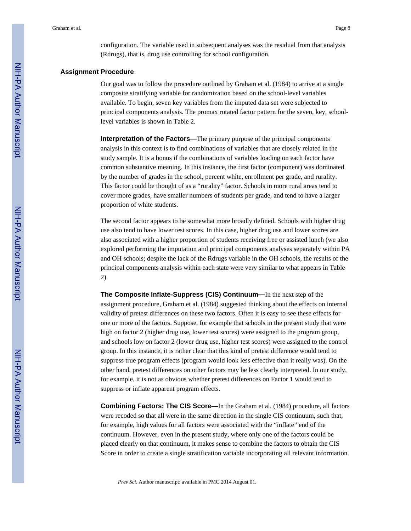configuration. The variable used in subsequent analyses was the residual from that analysis (Rdrugs), that is, drug use controlling for school configuration.

#### **Assignment Procedure**

Our goal was to follow the procedure outlined by Graham et al. (1984) to arrive at a single composite stratifying variable for randomization based on the school-level variables available. To begin, seven key variables from the imputed data set were subjected to principal components analysis. The promax rotated factor pattern for the seven, key, schoollevel variables is shown in Table 2.

**Interpretation of the Factors—**The primary purpose of the principal components analysis in this context is to find combinations of variables that are closely related in the study sample. It is a bonus if the combinations of variables loading on each factor have common substantive meaning. In this instance, the first factor (component) was dominated by the number of grades in the school, percent white, enrollment per grade, and rurality. This factor could be thought of as a "rurality" factor. Schools in more rural areas tend to cover more grades, have smaller numbers of students per grade, and tend to have a larger proportion of white students.

The second factor appears to be somewhat more broadly defined. Schools with higher drug use also tend to have lower test scores. In this case, higher drug use and lower scores are also associated with a higher proportion of students receiving free or assisted lunch (we also explored performing the imputation and principal components analyses separately within PA and OH schools; despite the lack of the Rdrugs variable in the OH schools, the results of the principal components analysis within each state were very similar to what appears in Table 2).

**The Composite Inflate-Suppress (CIS) Continuum—**In the next step of the assignment procedure, Graham et al. (1984) suggested thinking about the effects on internal validity of pretest differences on these two factors. Often it is easy to see these effects for one or more of the factors. Suppose, for example that schools in the present study that were high on factor 2 (higher drug use, lower test scores) were assigned to the program group, and schools low on factor 2 (lower drug use, higher test scores) were assigned to the control group. In this instance, it is rather clear that this kind of pretest difference would tend to suppress true program effects (program would look less effective than it really was). On the other hand, pretest differences on other factors may be less clearly interpreted. In our study, for example, it is not as obvious whether pretest differences on Factor 1 would tend to suppress or inflate apparent program effects.

**Combining Factors: The CIS Score—**In the Graham et al. (1984) procedure, all factors were recoded so that all were in the same direction in the single CIS continuum, such that, for example, high values for all factors were associated with the "inflate" end of the continuum. However, even in the present study, where only one of the factors could be placed clearly on that continuum, it makes sense to combine the factors to obtain the CIS Score in order to create a single stratification variable incorporating all relevant information.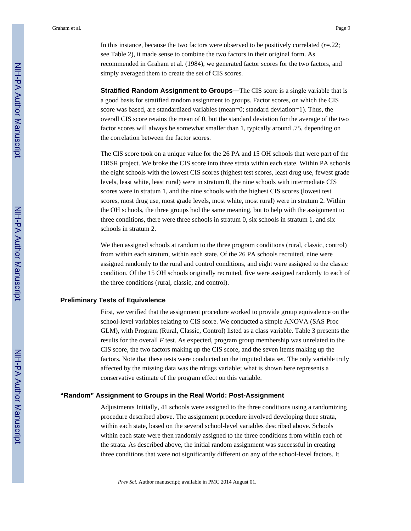In this instance, because the two factors were observed to be positively correlated  $(r=22;$ see Table 2), it made sense to combine the two factors in their original form. As recommended in Graham et al. (1984), we generated factor scores for the two factors, and simply averaged them to create the set of CIS scores.

**Stratified Random Assignment to Groups—The CIS score is a single variable that is** a good basis for stratified random assignment to groups. Factor scores, on which the CIS score was based, are standardized variables (mean=0; standard deviation=1). Thus, the overall CIS score retains the mean of 0, but the standard deviation for the average of the two factor scores will always be somewhat smaller than 1, typically around .75, depending on the correlation between the factor scores.

The CIS score took on a unique value for the 26 PA and 15 OH schools that were part of the DRSR project. We broke the CIS score into three strata within each state. Within PA schools the eight schools with the lowest CIS scores (highest test scores, least drug use, fewest grade levels, least white, least rural) were in stratum 0, the nine schools with intermediate CIS scores were in stratum 1, and the nine schools with the highest CIS scores (lowest test scores, most drug use, most grade levels, most white, most rural) were in stratum 2. Within the OH schools, the three groups had the same meaning, but to help with the assignment to three conditions, there were three schools in stratum 0, six schools in stratum 1, and six schools in stratum 2.

We then assigned schools at random to the three program conditions (rural, classic, control) from within each stratum, within each state. Of the 26 PA schools recruited, nine were assigned randomly to the rural and control conditions, and eight were assigned to the classic condition. Of the 15 OH schools originally recruited, five were assigned randomly to each of the three conditions (rural, classic, and control).

#### **Preliminary Tests of Equivalence**

First, we verified that the assignment procedure worked to provide group equivalence on the school-level variables relating to CIS score. We conducted a simple ANOVA (SAS Proc GLM), with Program (Rural, Classic, Control) listed as a class variable. Table 3 presents the results for the overall *F* test. As expected, program group membership was unrelated to the CIS score, the two factors making up the CIS score, and the seven items making up the factors. Note that these tests were conducted on the imputed data set. The only variable truly affected by the missing data was the rdrugs variable; what is shown here represents a conservative estimate of the program effect on this variable.

#### **"Random" Assignment to Groups in the Real World: Post-Assignment**

Adjustments Initially, 41 schools were assigned to the three conditions using a randomizing procedure described above. The assignment procedure involved developing three strata, within each state, based on the several school-level variables described above. Schools within each state were then randomly assigned to the three conditions from within each of the strata. As described above, the initial random assignment was successful in creating three conditions that were not significantly different on any of the school-level factors. It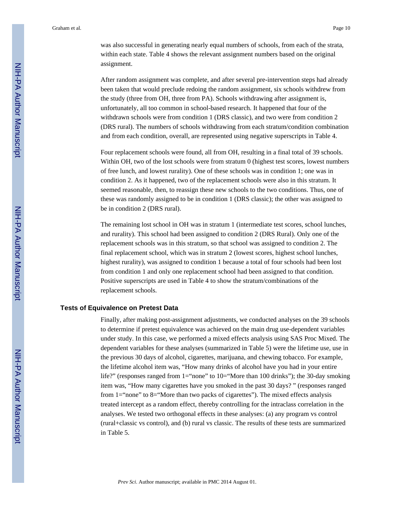Graham et al. Page 10

was also successful in generating nearly equal numbers of schools, from each of the strata, within each state. Table 4 shows the relevant assignment numbers based on the original assignment.

After random assignment was complete, and after several pre-intervention steps had already been taken that would preclude redoing the random assignment, six schools withdrew from the study (three from OH, three from PA). Schools withdrawing after assignment is, unfortunately, all too common in school-based research. It happened that four of the withdrawn schools were from condition 1 (DRS classic), and two were from condition 2 (DRS rural). The numbers of schools withdrawing from each stratum/condition combination and from each condition, overall, are represented using negative superscripts in Table 4.

Four replacement schools were found, all from OH, resulting in a final total of 39 schools. Within OH, two of the lost schools were from stratum 0 (highest test scores, lowest numbers of free lunch, and lowest rurality). One of these schools was in condition 1; one was in condition 2. As it happened, two of the replacement schools were also in this stratum. It seemed reasonable, then, to reassign these new schools to the two conditions. Thus, one of these was randomly assigned to be in condition 1 (DRS classic); the other was assigned to be in condition 2 (DRS rural).

The remaining lost school in OH was in stratum 1 (intermediate test scores, school lunches, and rurality). This school had been assigned to condition 2 (DRS Rural). Only one of the replacement schools was in this stratum, so that school was assigned to condition 2. The final replacement school, which was in stratum 2 (lowest scores, highest school lunches, highest rurality), was assigned to condition 1 because a total of four schools had been lost from condition 1 and only one replacement school had been assigned to that condition. Positive superscripts are used in Table 4 to show the stratum/combinations of the replacement schools.

#### **Tests of Equivalence on Pretest Data**

Finally, after making post-assignment adjustments, we conducted analyses on the 39 schools to determine if pretest equivalence was achieved on the main drug use-dependent variables under study. In this case, we performed a mixed effects analysis using SAS Proc Mixed. The dependent variables for these analyses (summarized in Table 5) were the lifetime use, use in the previous 30 days of alcohol, cigarettes, marijuana, and chewing tobacco. For example, the lifetime alcohol item was, "How many drinks of alcohol have you had in your entire life?" (responses ranged from 1="none" to 10="More than 100 drinks"); the 30-day smoking item was, "How many cigarettes have you smoked in the past 30 days? " (responses ranged from 1="none" to 8="More than two packs of cigarettes"). The mixed effects analysis treated intercept as a random effect, thereby controlling for the intraclass correlation in the analyses. We tested two orthogonal effects in these analyses: (a) any program vs control (rural+classic vs control), and (b) rural vs classic. The results of these tests are summarized in Table 5.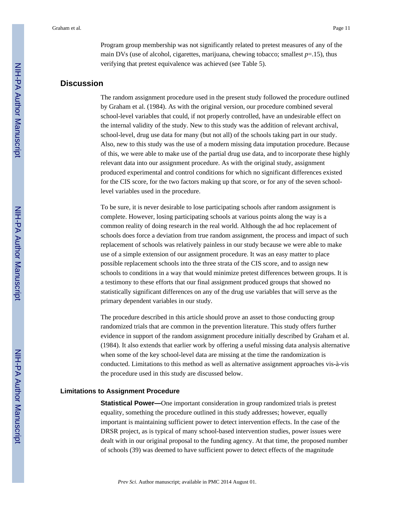Program group membership was not significantly related to pretest measures of any of the main DVs (use of alcohol, cigarettes, marijuana, chewing tobacco; smallest *p*=.15), thus verifying that pretest equivalence was achieved (see Table 5).

#### **Discussion**

The random assignment procedure used in the present study followed the procedure outlined by Graham et al. (1984). As with the original version, our procedure combined several school-level variables that could, if not properly controlled, have an undesirable effect on the internal validity of the study. New to this study was the addition of relevant archival, school-level, drug use data for many (but not all) of the schools taking part in our study. Also, new to this study was the use of a modern missing data imputation procedure. Because of this, we were able to make use of the partial drug use data, and to incorporate these highly relevant data into our assignment procedure. As with the original study, assignment produced experimental and control conditions for which no significant differences existed for the CIS score, for the two factors making up that score, or for any of the seven schoollevel variables used in the procedure.

To be sure, it is never desirable to lose participating schools after random assignment is complete. However, losing participating schools at various points along the way is a common reality of doing research in the real world. Although the ad hoc replacement of schools does force a deviation from true random assignment, the process and impact of such replacement of schools was relatively painless in our study because we were able to make use of a simple extension of our assignment procedure. It was an easy matter to place possible replacement schools into the three strata of the CIS score, and to assign new schools to conditions in a way that would minimize pretest differences between groups. It is a testimony to these efforts that our final assignment produced groups that showed no statistically significant differences on any of the drug use variables that will serve as the primary dependent variables in our study.

The procedure described in this article should prove an asset to those conducting group randomized trials that are common in the prevention literature. This study offers further evidence in support of the random assignment procedure initially described by Graham et al. (1984). It also extends that earlier work by offering a useful missing data analysis alternative when some of the key school-level data are missing at the time the randomization is conducted. Limitations to this method as well as alternative assignment approaches vis-à-vis the procedure used in this study are discussed below.

#### **Limitations to Assignment Procedure**

**Statistical Power—**One important consideration in group randomized trials is pretest equality, something the procedure outlined in this study addresses; however, equally important is maintaining sufficient power to detect intervention effects. In the case of the DRSR project, as is typical of many school-based intervention studies, power issues were dealt with in our original proposal to the funding agency. At that time, the proposed number of schools (39) was deemed to have sufficient power to detect effects of the magnitude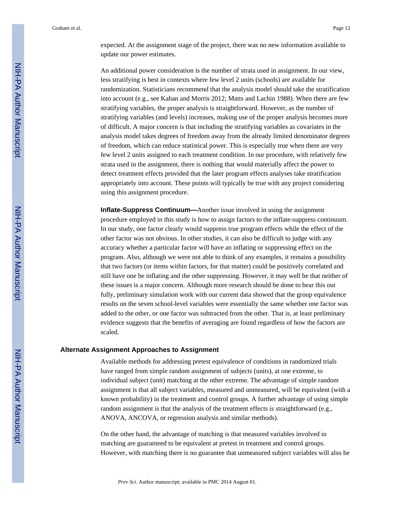expected. At the assignment stage of the project, there was no new information available to update our power estimates.

An additional power consideration is the number of strata used in assignment. In our view, less stratifying is best in contexts where few level 2 units (schools) are available for randomization. Statisticians recommend that the analysis model should take the stratification into account (e.g., see Kahan and Morris 2012; Matts and Lachin 1988). When there are few stratifying variables, the proper analysis is straightforward. However, as the number of stratifying variables (and levels) increases, making use of the proper analysis becomes more of difficult. A major concern is that including the stratifying variables as covariates in the analysis model takes degrees of freedom away from the already limited denominator degrees of freedom, which can reduce statistical power. This is especially true when there are very few level 2 units assigned to each treatment condition. In our procedure, with relatively few strata used in the assignment, there is nothing that would materially affect the power to detect treatment effects provided that the later program effects analyses take stratification appropriately into account. These points will typically be true with any project considering using this assignment procedure.

**Inflate-Suppress Continuum—**Another issue involved in using the assignment procedure employed in this study is how to assign factors to the inflate-suppress continuum. In our study, one factor clearly would suppress true program effects while the effect of the other factor was not obvious. In other studies, it can also be difficult to judge with any accuracy whether a particular factor will have an inflating or suppressing effect on the program. Also, although we were not able to think of any examples, it remains a possibility that two factors (or items within factors, for that matter) could be positively correlated and still have one be inflating and the other suppressing. However, it may well be that neither of these issues is a major concern. Although more research should be done to bear this out fully, preliminary simulation work with our current data showed that the group equivalence results on the seven school-level variables were essentially the same whether one factor was added to the other, or one factor was subtracted from the other. That is, at least preliminary evidence suggests that the benefits of averaging are found regardless of how the factors are scaled.

#### **Alternate Assignment Approaches to Assignment**

Available methods for addressing pretest equivalence of conditions in randomized trials have ranged from simple random assignment of subjects (units), at one extreme, to individual subject (unit) matching at the other extreme. The advantage of simple random assignment is that all subject variables, measured and unmeasured, will be equivalent (with a known probability) in the treatment and control groups. A further advantage of using simple random assignment is that the analysis of the treatment effects is straightforward (e.g., ANOVA, ANCOVA, or regression analysis and similar methods).

On the other hand, the advantage of matching is that measured variables involved in matching are guaranteed to be equivalent at pretest in treatment and control groups. However, with matching there is no guarantee that unmeasured subject variables will also be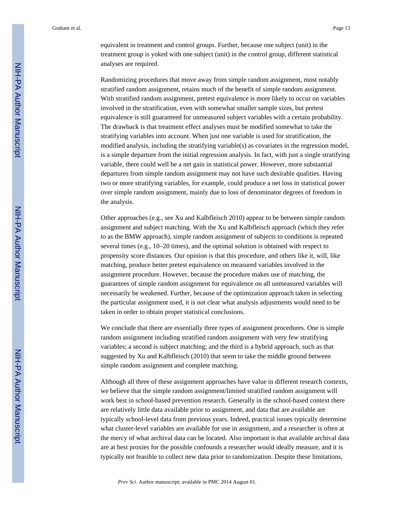equivalent in treatment and control groups. Further, because one subject (unit) in the treatment group is yoked with one subject (unit) in the control group, different statistical analyses are required.

Randomizing procedures that move away from simple random assignment, most notably stratified random assignment, retains much of the benefit of simple random assignment. With stratified random assignment, pretest equivalence is more likely to occur on variables involved in the stratification, even with somewhat smaller sample sizes, but pretest equivalence is still guaranteed for unmeasured subject variables with a certain probability. The drawback is that treatment effect analyses must be modified somewhat to take the stratifying variables into account. When just one variable is used for stratification, the modified analysis, including the stratifying variable(s) as covariates in the regression model, is a simple departure from the initial regression analysis. In fact, with just a single stratifying variable, there could well be a net gain in statistical power. However, more substantial departures from simple random assignment may not have such desirable qualities. Having two or more stratifying variables, for example, could produce a net loss in statistical power over simple random assignment, mainly due to loss of denominator degrees of freedom in the analysis.

Other approaches (e.g., see Xu and Kalbfleisch 2010) appear to be between simple random assignment and subject matching. With the Xu and Kalbfleisch approach (which they refer to as the BMW approach), simple random assignment of subjects to conditions is repeated several times (e.g., 10–20 times), and the optimal solution is obtained with respect to propensity score distances. Our opinion is that this procedure, and others like it, will, like matching, produce better pretest equivalence on measured variables involved in the assignment procedure. However, because the procedure makes use of matching, the guarantees of simple random assignment for equivalence on all unmeasured variables will necessarily be weakened. Further, because of the optimization approach taken in selecting the particular assignment used, it is not clear what analysis adjustments would need to be taken in order to obtain proper statistical conclusions.

We conclude that there are essentially three types of assignment procedures. One is simple random assignment including stratified random assignment with very few stratifying variables; a second is subject matching; and the third is a hybrid approach, such as that suggested by Xu and Kalbfleisch (2010) that seem to take the middle ground between simple random assignment and complete matching.

Although all three of these assignment approaches have value in different research contexts, we believe that the simple random assignment/limited stratified random assignment will work best in school-based prevention research. Generally in the school-based context there are relatively little data available prior to assignment, and data that are available are typically school-level data from previous years. Indeed, practical issues typically determine what cluster-level variables are available for use in assignment, and a researcher is often at the mercy of what archival data can be located. Also important is that available archival data are at best proxies for the possible confounds a researcher would ideally measure, and it is typically not feasible to collect new data prior to randomization. Despite these limitations,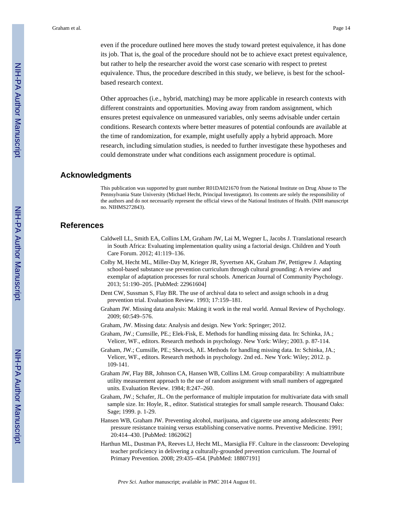even if the procedure outlined here moves the study toward pretest equivalence, it has done its job. That is, the goal of the procedure should not be to achieve exact pretest equivalence, but rather to help the researcher avoid the worst case scenario with respect to pretest equivalence. Thus, the procedure described in this study, we believe, is best for the schoolbased research context.

Other approaches (i.e., hybrid, matching) may be more applicable in research contexts with different constraints and opportunities. Moving away from random assignment, which ensures pretest equivalence on unmeasured variables, only seems advisable under certain conditions. Research contexts where better measures of potential confounds are available at the time of randomization, for example, might usefully apply a hybrid approach. More research, including simulation studies, is needed to further investigate these hypotheses and could demonstrate under what conditions each assignment procedure is optimal.

#### **Acknowledgments**

This publication was supported by grant number R01DA021670 from the National Institute on Drug Abuse to The Pennsylvania State University (Michael Hecht, Principal Investigator). Its contents are solely the responsibility of the authors and do not necessarily represent the official views of the National Institutes of Health. (NIH manuscript no. NIHMS272843).

#### **References**

- Caldwell LL, Smith EA, Collins LM, Graham JW, Lai M, Wegner L, Jacobs J. Translational research in South Africa: Evaluating implementation quality using a factorial design. Children and Youth Care Forum. 2012; 41:119–136.
- Colby M, Hecht ML, Miller-Day M, Krieger JR, Syvertsen AK, Graham JW, Pettigrew J. Adapting school-based substance use prevention curriculum through cultural grounding: A review and exemplar of adaptation processes for rural schools. American Journal of Community Psychology. 2013; 51:190–205. [PubMed: 22961604]
- Dent CW, Sussman S, Flay BR. The use of archival data to select and assign schools in a drug prevention trial. Evaluation Review. 1993; 17:159–181.
- Graham JW. Missing data analysis: Making it work in the real world. Annual Review of Psychology. 2009; 60:549–576.
- Graham, JW. Missing data: Analysis and design. New York: Springer; 2012.
- Graham, JW.; Cumsille, PE.; Elek-Fisk, E. Methods for handling missing data. In: Schinka, JA.; Velicer, WF., editors. Research methods in psychology. New York: Wiley; 2003. p. 87-114.
- Graham, JW.; Cumsille, PE.; Shevock, AE. Methods for handling missing data. In: Schinka, JA.; Velicer, WF., editors. Research methods in psychology. 2nd ed.. New York: Wiley; 2012. p. 109-141.
- Graham JW, Flay BR, Johnson CA, Hansen WB, Collins LM. Group comparability: A multiattribute utility measurement approach to the use of random assignment with small numbers of aggregated units. Evaluation Review. 1984; 8:247–260.
- Graham, JW.; Schafer, JL. On the performance of multiple imputation for multivariate data with small sample size. In: Hoyle, R., editor. Statistical strategies for small sample research. Thousand Oaks: Sage; 1999. p. 1-29.
- Hansen WB, Graham JW. Preventing alcohol, marijuana, and cigarette use among adolescents: Peer pressure resistance training versus establishing conservative norms. Preventive Medicine. 1991; 20:414–430. [PubMed: 1862062]
- Harthun ML, Dustman PA, Reeves LJ, Hecht ML, Marsiglia FF. Culture in the classroom: Developing teacher proficiency in delivering a culturally-grounded prevention curriculum. The Journal of Primary Prevention. 2008; 29:435–454. [PubMed: 18807191]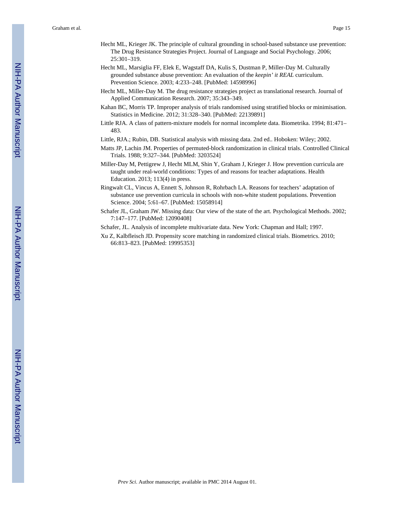- Hecht ML, Krieger JK. The principle of cultural grounding in school-based substance use prevention: The Drug Resistance Strategies Project. Journal of Language and Social Psychology. 2006; 25:301–319.
- Hecht ML, Marsiglia FF, Elek E, Wagstaff DA, Kulis S, Dustman P, Miller-Day M. Culturally grounded substance abuse prevention: An evaluation of the *keepin' it REAL* curriculum. Prevention Science. 2003; 4:233–248. [PubMed: 14598996]
- Hecht ML, Miller-Day M. The drug resistance strategies project as translational research. Journal of Applied Communication Research. 2007; 35:343–349.
- Kahan BC, Morris TP. Improper analysis of trials randomised using stratified blocks or minimisation. Statistics in Medicine. 2012; 31:328–340. [PubMed: 22139891]
- Little RJA. A class of pattern-mixture models for normal incomplete data. Biometrika. 1994; 81:471– 483.
- Little, RJA.; Rubin, DB. Statistical analysis with missing data. 2nd ed.. Hoboken: Wiley; 2002.
- Matts JP, Lachin JM. Properties of permuted-block randomization in clinical trials. Controlled Clinical Trials. 1988; 9:327–344. [PubMed: 3203524]
- Miller-Day M, Pettigrew J, Hecht MLM, Shin Y, Graham J, Krieger J. How prevention curricula are taught under real-world conditions: Types of and reasons for teacher adaptations. Health Education. 2013; 113(4) in press.
- Ringwalt CL, Vincus A, Ennett S, Johnson R, Rohrbach LA. Reasons for teachers' adaptation of substance use prevention curricula in schools with non-white student populations. Prevention Science. 2004; 5:61–67. [PubMed: 15058914]
- Schafer JL, Graham JW. Missing data: Our view of the state of the art. Psychological Methods. 2002; 7:147–177. [PubMed: 12090408]
- Schafer, JL. Analysis of incomplete multivariate data. New York: Chapman and Hall; 1997.
- Xu Z, Kalbfleisch JD. Propensity score matching in randomized clinical trials. Biometrics. 2010; 66:813–823. [PubMed: 19995353]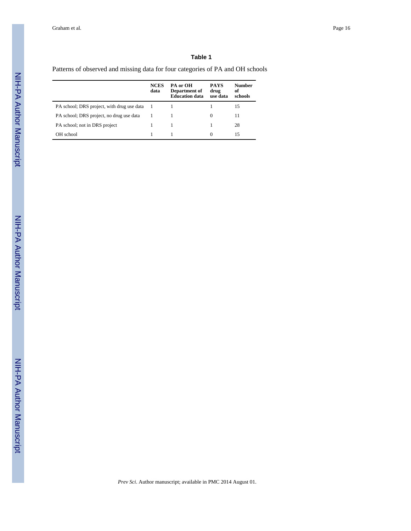#### **Table 1**

|                                            | <b>NCES</b><br>data | PA or OH<br>Department of<br><b>Education data</b> | <b>PAYS</b><br>drug<br>use data | <b>Number</b><br>of<br>schools |
|--------------------------------------------|---------------------|----------------------------------------------------|---------------------------------|--------------------------------|
| PA school; DRS project, with drug use data |                     |                                                    |                                 | 15                             |
| PA school; DRS project, no drug use data   |                     |                                                    | $\Omega$                        | 11                             |
| PA school; not in DRS project              |                     |                                                    |                                 | 28                             |
| OH school                                  |                     |                                                    | $\Omega$                        | 15                             |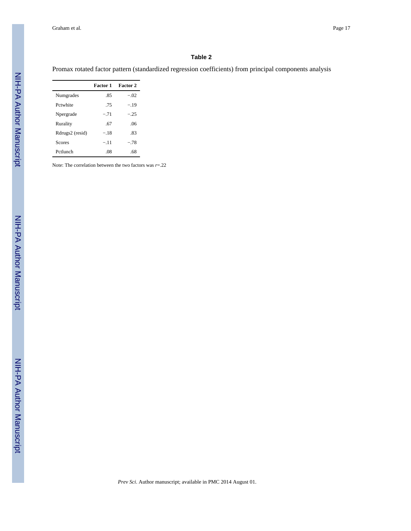#### **Table 2**

Promax rotated factor pattern (standardized regression coefficients) from principal components analysis

|                 | <b>Factor 1</b> | Factor 2 |
|-----------------|-----------------|----------|
| Numgrades       | .85             | $-02$    |
| Petwhite        | .75             | $-.19$   |
| Npergrade       | $-71$           | $-25$    |
| Rurality        | .67             | .06      |
| Rdrugs2 (resid) | $-.18$          | .83      |
| <b>Scores</b>   | - 11            | $-.78$   |
| Petlunch        | .08             | .68      |

Note: The correlation between the two factors was *r*=.22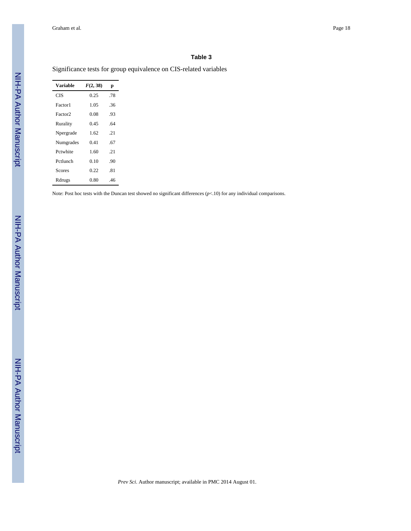Graham et al. Page 18

#### **Table 3**

Significance tests for group equivalence on CIS-related variables

| Variable            | F(2, 38) | p   |
|---------------------|----------|-----|
| CIS                 | 0.25     | .78 |
| Factor1             | 1.05     | .36 |
| Factor <sub>2</sub> | 0.08     | .93 |
| Rurality            | 0.45     | -64 |
| Npergrade           | 1.62     | .21 |
| Numgrades           | 0.41     | .67 |
| Pctwhite            | 1.60     | 21  |
| Petlunch            | 0.10     | .90 |
| <b>Scores</b>       | 0.22     | .81 |
| Rdrugs              | 0.80     | 46  |

Note: Post hoc tests with the Duncan test showed no significant differences ( $p$ <.10) for any individual comparisons.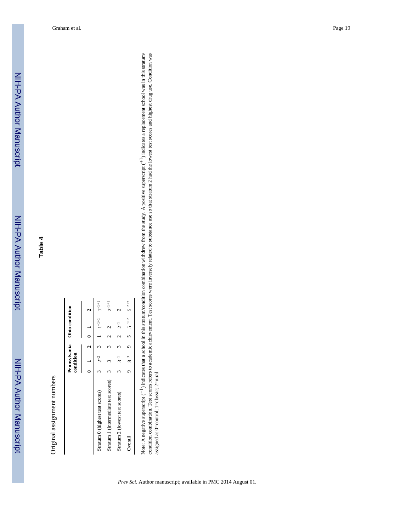**Table 4**

Original assignment numbers Original assignment numbers

|                                      | condition     |  | Pennsylvania Ohio condition          |            |
|--------------------------------------|---------------|--|--------------------------------------|------------|
|                                      |               |  |                                      |            |
| Stratum 0 (highest test scores)      | $2^{-2}$ 3    |  | $1 - 1 + 1 - 1 + 1$                  |            |
| Stratum 1 (intermediate test scores) |               |  |                                      | $2^{-1+1}$ |
| Stratum 2 (lowest test scores)       | $\frac{1}{2}$ |  | $2^{+1}$                             |            |
| Overall                              |               |  | 9 $8^{-3}$ 9 5 $5^{-1+2}$ $5^{-2+2}$ |            |
|                                      |               |  |                                      |            |

Note: A negative superscript  $(-1)$  indicates that a school in this stratum/condition combination withdrew from the study. A positive superscript  $(+)$  indicates a replacement school was in this stratum/ condition combination. Test scores refers to academic achievement. Test scores were inversely related to substance use so that stratum 2 had the lowest test scores and highest drug use. Condition was Note: A negative superscript ( $-1$ ) indicates that a school in this stratum/condition combination withdrew from the study. A positive superscript ( $+1$ ) indicates a replacement school was in this stratum/ condition combination. Test scores refers to academic achievement. Test scores were inversely related to substance use so that stratum 2 had the lowest test scores and highest drug use. Condition was assigned as 0=control; 1=classic; 2=rural assigned as 0=control; 1=classic; 2=rural